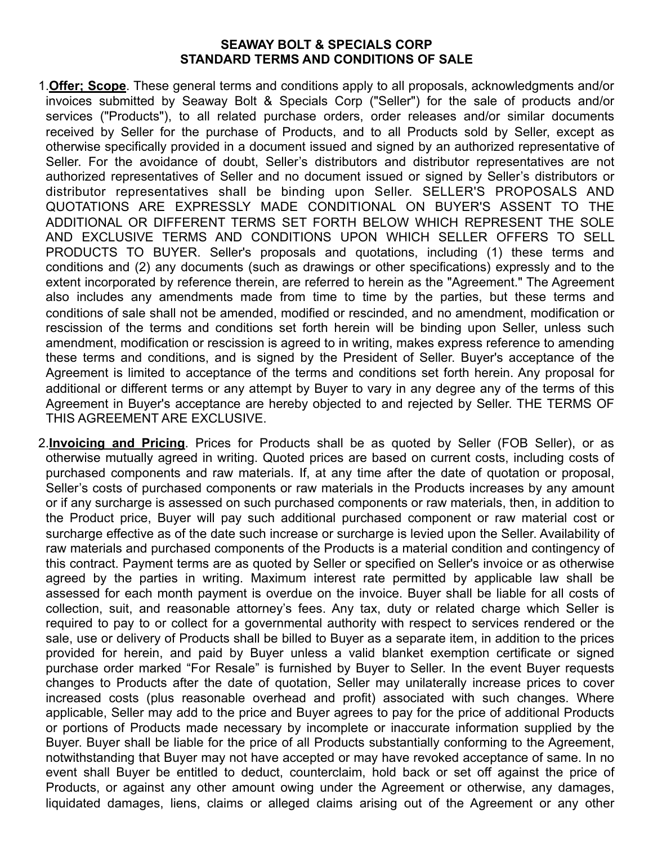## **SEAWAY BOLT & SPECIALS CORP STANDARD TERMS AND CONDITIONS OF SALE**

- 1.**Offer; Scope**. These general terms and conditions apply to all proposals, acknowledgments and/or invoices submitted by Seaway Bolt & Specials Corp ("Seller") for the sale of products and/or services ("Products"), to all related purchase orders, order releases and/or similar documents received by Seller for the purchase of Products, and to all Products sold by Seller, except as otherwise specifically provided in a document issued and signed by an authorized representative of Seller. For the avoidance of doubt, Seller's distributors and distributor representatives are not authorized representatives of Seller and no document issued or signed by Seller's distributors or distributor representatives shall be binding upon Seller. SELLER'S PROPOSALS AND QUOTATIONS ARE EXPRESSLY MADE CONDITIONAL ON BUYER'S ASSENT TO THE ADDITIONAL OR DIFFERENT TERMS SET FORTH BELOW WHICH REPRESENT THE SOLE AND EXCLUSIVE TERMS AND CONDITIONS UPON WHICH SELLER OFFERS TO SELL PRODUCTS TO BUYER. Seller's proposals and quotations, including (1) these terms and conditions and (2) any documents (such as drawings or other specifications) expressly and to the extent incorporated by reference therein, are referred to herein as the "Agreement." The Agreement also includes any amendments made from time to time by the parties, but these terms and conditions of sale shall not be amended, modified or rescinded, and no amendment, modification or rescission of the terms and conditions set forth herein will be binding upon Seller, unless such amendment, modification or rescission is agreed to in writing, makes express reference to amending these terms and conditions, and is signed by the President of Seller. Buyer's acceptance of the Agreement is limited to acceptance of the terms and conditions set forth herein. Any proposal for additional or different terms or any attempt by Buyer to vary in any degree any of the terms of this Agreement in Buyer's acceptance are hereby objected to and rejected by Seller. THE TERMS OF THIS AGREEMENT ARE EXCLUSIVE.
- 2.**Invoicing and Pricing**. Prices for Products shall be as quoted by Seller (FOB Seller), or as otherwise mutually agreed in writing. Quoted prices are based on current costs, including costs of purchased components and raw materials. If, at any time after the date of quotation or proposal, Seller's costs of purchased components or raw materials in the Products increases by any amount or if any surcharge is assessed on such purchased components or raw materials, then, in addition to the Product price, Buyer will pay such additional purchased component or raw material cost or surcharge effective as of the date such increase or surcharge is levied upon the Seller. Availability of raw materials and purchased components of the Products is a material condition and contingency of this contract. Payment terms are as quoted by Seller or specified on Seller's invoice or as otherwise agreed by the parties in writing. Maximum interest rate permitted by applicable law shall be assessed for each month payment is overdue on the invoice. Buyer shall be liable for all costs of collection, suit, and reasonable attorney's fees. Any tax, duty or related charge which Seller is required to pay to or collect for a governmental authority with respect to services rendered or the sale, use or delivery of Products shall be billed to Buyer as a separate item, in addition to the prices provided for herein, and paid by Buyer unless a valid blanket exemption certificate or signed purchase order marked "For Resale" is furnished by Buyer to Seller. In the event Buyer requests changes to Products after the date of quotation, Seller may unilaterally increase prices to cover increased costs (plus reasonable overhead and profit) associated with such changes. Where applicable, Seller may add to the price and Buyer agrees to pay for the price of additional Products or portions of Products made necessary by incomplete or inaccurate information supplied by the Buyer. Buyer shall be liable for the price of all Products substantially conforming to the Agreement, notwithstanding that Buyer may not have accepted or may have revoked acceptance of same. In no event shall Buyer be entitled to deduct, counterclaim, hold back or set off against the price of Products, or against any other amount owing under the Agreement or otherwise, any damages, liquidated damages, liens, claims or alleged claims arising out of the Agreement or any other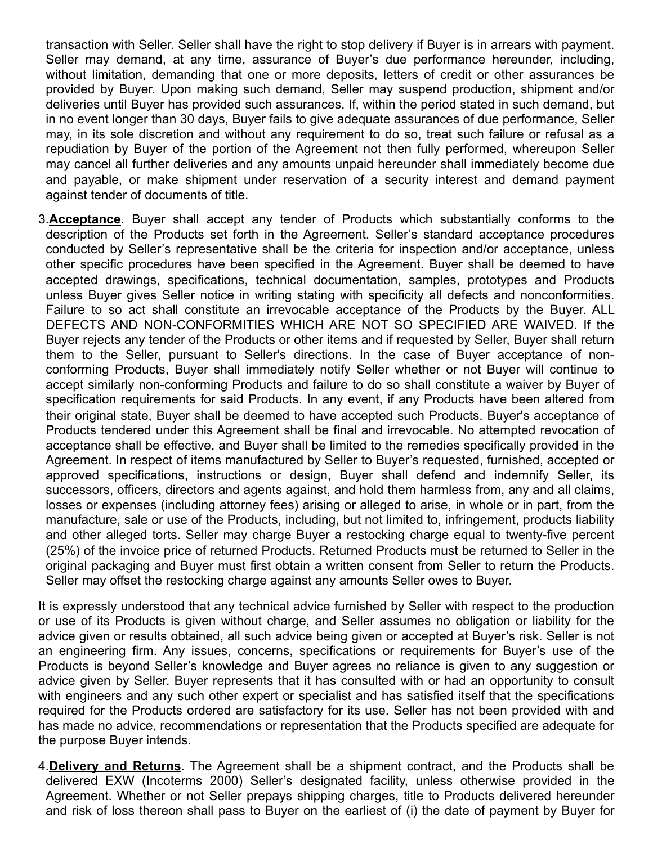transaction with Seller. Seller shall have the right to stop delivery if Buyer is in arrears with payment. Seller may demand, at any time, assurance of Buyer's due performance hereunder, including, without limitation, demanding that one or more deposits, letters of credit or other assurances be provided by Buyer. Upon making such demand, Seller may suspend production, shipment and/or deliveries until Buyer has provided such assurances. If, within the period stated in such demand, but in no event longer than 30 days, Buyer fails to give adequate assurances of due performance, Seller may, in its sole discretion and without any requirement to do so, treat such failure or refusal as a repudiation by Buyer of the portion of the Agreement not then fully performed, whereupon Seller may cancel all further deliveries and any amounts unpaid hereunder shall immediately become due and payable, or make shipment under reservation of a security interest and demand payment against tender of documents of title.

3.**Acceptance**. Buyer shall accept any tender of Products which substantially conforms to the description of the Products set forth in the Agreement. Seller's standard acceptance procedures conducted by Seller's representative shall be the criteria for inspection and/or acceptance, unless other specific procedures have been specified in the Agreement. Buyer shall be deemed to have accepted drawings, specifications, technical documentation, samples, prototypes and Products unless Buyer gives Seller notice in writing stating with specificity all defects and nonconformities. Failure to so act shall constitute an irrevocable acceptance of the Products by the Buyer. ALL DEFECTS AND NON-CONFORMITIES WHICH ARE NOT SO SPECIFIED ARE WAIVED. If the Buyer rejects any tender of the Products or other items and if requested by Seller, Buyer shall return them to the Seller, pursuant to Seller's directions. In the case of Buyer acceptance of nonconforming Products, Buyer shall immediately notify Seller whether or not Buyer will continue to accept similarly non-conforming Products and failure to do so shall constitute a waiver by Buyer of specification requirements for said Products. In any event, if any Products have been altered from their original state, Buyer shall be deemed to have accepted such Products. Buyer's acceptance of Products tendered under this Agreement shall be final and irrevocable. No attempted revocation of acceptance shall be effective, and Buyer shall be limited to the remedies specifically provided in the Agreement. In respect of items manufactured by Seller to Buyer's requested, furnished, accepted or approved specifications, instructions or design, Buyer shall defend and indemnify Seller, its successors, officers, directors and agents against, and hold them harmless from, any and all claims, losses or expenses (including attorney fees) arising or alleged to arise, in whole or in part, from the manufacture, sale or use of the Products, including, but not limited to, infringement, products liability and other alleged torts. Seller may charge Buyer a restocking charge equal to twenty-five percent (25%) of the invoice price of returned Products. Returned Products must be returned to Seller in the original packaging and Buyer must first obtain a written consent from Seller to return the Products. Seller may offset the restocking charge against any amounts Seller owes to Buyer.

It is expressly understood that any technical advice furnished by Seller with respect to the production or use of its Products is given without charge, and Seller assumes no obligation or liability for the advice given or results obtained, all such advice being given or accepted at Buyer's risk. Seller is not an engineering firm. Any issues, concerns, specifications or requirements for Buyer's use of the Products is beyond Seller's knowledge and Buyer agrees no reliance is given to any suggestion or advice given by Seller. Buyer represents that it has consulted with or had an opportunity to consult with engineers and any such other expert or specialist and has satisfied itself that the specifications required for the Products ordered are satisfactory for its use. Seller has not been provided with and has made no advice, recommendations or representation that the Products specified are adequate for the purpose Buyer intends.

4.**Delivery and Returns**. The Agreement shall be a shipment contract, and the Products shall be delivered EXW (Incoterms 2000) Seller's designated facility, unless otherwise provided in the Agreement. Whether or not Seller prepays shipping charges, title to Products delivered hereunder and risk of loss thereon shall pass to Buyer on the earliest of (i) the date of payment by Buyer for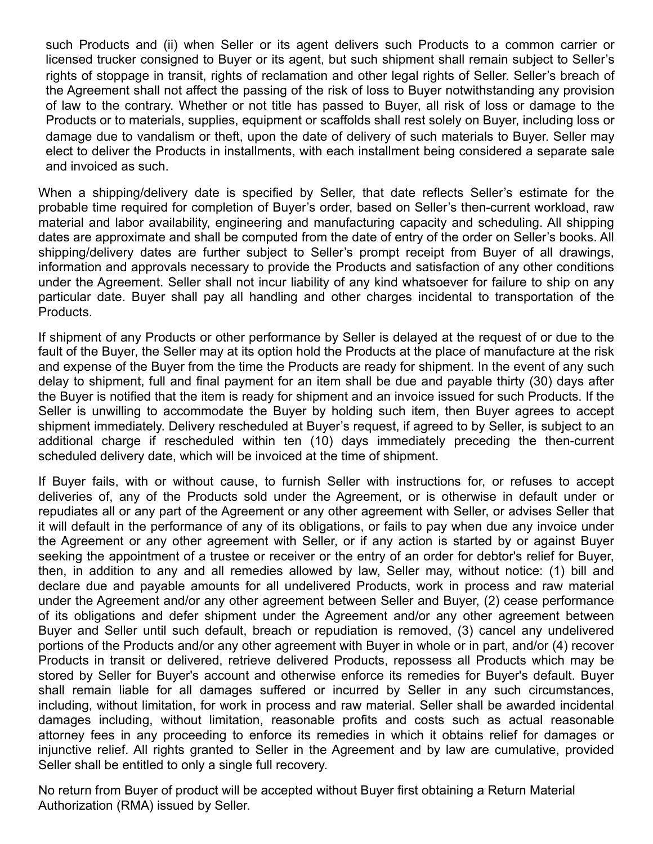such Products and (ii) when Seller or its agent delivers such Products to a common carrier or licensed trucker consigned to Buyer or its agent, but such shipment shall remain subject to Seller's rights of stoppage in transit, rights of reclamation and other legal rights of Seller. Seller's breach of the Agreement shall not affect the passing of the risk of loss to Buyer notwithstanding any provision of law to the contrary. Whether or not title has passed to Buyer, all risk of loss or damage to the Products or to materials, supplies, equipment or scaffolds shall rest solely on Buyer, including loss or damage due to vandalism or theft, upon the date of delivery of such materials to Buyer. Seller may elect to deliver the Products in installments, with each installment being considered a separate sale and invoiced as such.

When a shipping/delivery date is specified by Seller, that date reflects Seller's estimate for the probable time required for completion of Buyer's order, based on Seller's then-current workload, raw material and labor availability, engineering and manufacturing capacity and scheduling. All shipping dates are approximate and shall be computed from the date of entry of the order on Seller's books. All shipping/delivery dates are further subject to Seller's prompt receipt from Buyer of all drawings, information and approvals necessary to provide the Products and satisfaction of any other conditions under the Agreement. Seller shall not incur liability of any kind whatsoever for failure to ship on any particular date. Buyer shall pay all handling and other charges incidental to transportation of the Products.

If shipment of any Products or other performance by Seller is delayed at the request of or due to the fault of the Buyer, the Seller may at its option hold the Products at the place of manufacture at the risk and expense of the Buyer from the time the Products are ready for shipment. In the event of any such delay to shipment, full and final payment for an item shall be due and payable thirty (30) days after the Buyer is notified that the item is ready for shipment and an invoice issued for such Products. If the Seller is unwilling to accommodate the Buyer by holding such item, then Buyer agrees to accept shipment immediately. Delivery rescheduled at Buyer's request, if agreed to by Seller, is subject to an additional charge if rescheduled within ten (10) days immediately preceding the then-current scheduled delivery date, which will be invoiced at the time of shipment.

If Buyer fails, with or without cause, to furnish Seller with instructions for, or refuses to accept deliveries of, any of the Products sold under the Agreement, or is otherwise in default under or repudiates all or any part of the Agreement or any other agreement with Seller, or advises Seller that it will default in the performance of any of its obligations, or fails to pay when due any invoice under the Agreement or any other agreement with Seller, or if any action is started by or against Buyer seeking the appointment of a trustee or receiver or the entry of an order for debtor's relief for Buyer, then, in addition to any and all remedies allowed by law, Seller may, without notice: (1) bill and declare due and payable amounts for all undelivered Products, work in process and raw material under the Agreement and/or any other agreement between Seller and Buyer, (2) cease performance of its obligations and defer shipment under the Agreement and/or any other agreement between Buyer and Seller until such default, breach or repudiation is removed, (3) cancel any undelivered portions of the Products and/or any other agreement with Buyer in whole or in part, and/or (4) recover Products in transit or delivered, retrieve delivered Products, repossess all Products which may be stored by Seller for Buyer's account and otherwise enforce its remedies for Buyer's default. Buyer shall remain liable for all damages suffered or incurred by Seller in any such circumstances, including, without limitation, for work in process and raw material. Seller shall be awarded incidental damages including, without limitation, reasonable profits and costs such as actual reasonable attorney fees in any proceeding to enforce its remedies in which it obtains relief for damages or injunctive relief. All rights granted to Seller in the Agreement and by law are cumulative, provided Seller shall be entitled to only a single full recovery.

No return from Buyer of product will be accepted without Buyer first obtaining a Return Material Authorization (RMA) issued by Seller.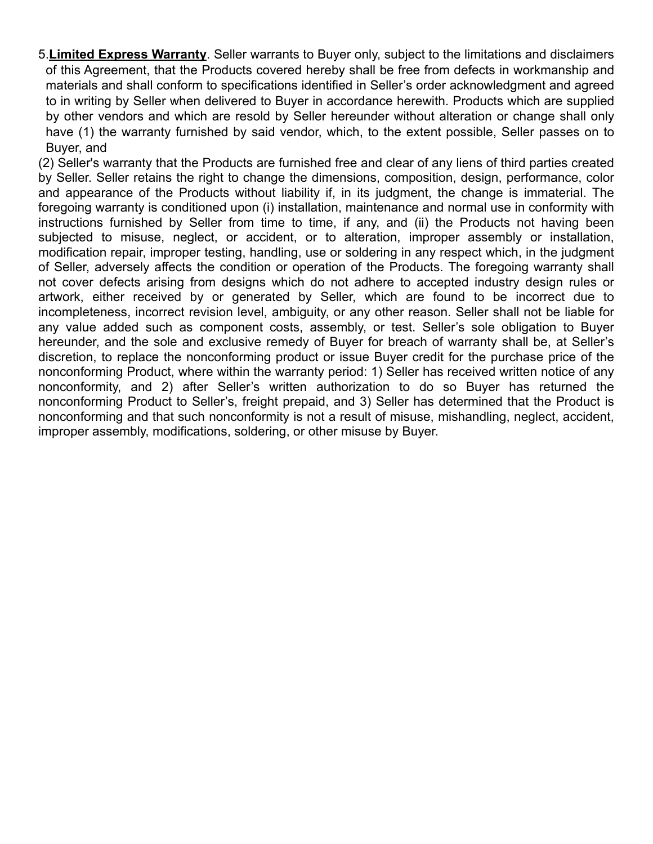5.**Limited Express Warranty**. Seller warrants to Buyer only, subject to the limitations and disclaimers of this Agreement, that the Products covered hereby shall be free from defects in workmanship and materials and shall conform to specifications identified in Seller's order acknowledgment and agreed to in writing by Seller when delivered to Buyer in accordance herewith. Products which are supplied by other vendors and which are resold by Seller hereunder without alteration or change shall only have (1) the warranty furnished by said vendor, which, to the extent possible, Seller passes on to Buyer, and

(2) Seller's warranty that the Products are furnished free and clear of any liens of third parties created by Seller. Seller retains the right to change the dimensions, composition, design, performance, color and appearance of the Products without liability if, in its judgment, the change is immaterial. The foregoing warranty is conditioned upon (i) installation, maintenance and normal use in conformity with instructions furnished by Seller from time to time, if any, and (ii) the Products not having been subjected to misuse, neglect, or accident, or to alteration, improper assembly or installation, modification repair, improper testing, handling, use or soldering in any respect which, in the judgment of Seller, adversely affects the condition or operation of the Products. The foregoing warranty shall not cover defects arising from designs which do not adhere to accepted industry design rules or artwork, either received by or generated by Seller, which are found to be incorrect due to incompleteness, incorrect revision level, ambiguity, or any other reason. Seller shall not be liable for any value added such as component costs, assembly, or test. Seller's sole obligation to Buyer hereunder, and the sole and exclusive remedy of Buyer for breach of warranty shall be, at Seller's discretion, to replace the nonconforming product or issue Buyer credit for the purchase price of the nonconforming Product, where within the warranty period: 1) Seller has received written notice of any nonconformity, and 2) after Seller's written authorization to do so Buyer has returned the nonconforming Product to Seller's, freight prepaid, and 3) Seller has determined that the Product is nonconforming and that such nonconformity is not a result of misuse, mishandling, neglect, accident, improper assembly, modifications, soldering, or other misuse by Buyer.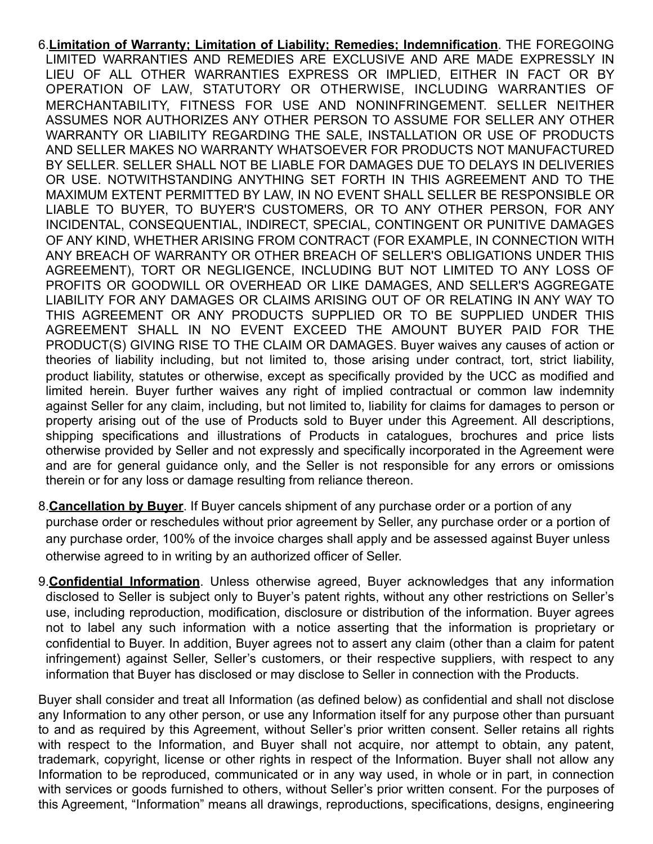6.**Limitation of Warranty; Limitation of Liability; Remedies; Indemnification**. THE FOREGOING LIMITED WARRANTIES AND REMEDIES ARE EXCLUSIVE AND ARE MADE EXPRESSLY IN LIEU OF ALL OTHER WARRANTIES EXPRESS OR IMPLIED, EITHER IN FACT OR BY OPERATION OF LAW, STATUTORY OR OTHERWISE, INCLUDING WARRANTIES OF MERCHANTABILITY, FITNESS FOR USE AND NONINFRINGEMENT. SELLER NEITHER ASSUMES NOR AUTHORIZES ANY OTHER PERSON TO ASSUME FOR SELLER ANY OTHER WARRANTY OR LIABILITY REGARDING THE SALE, INSTALLATION OR USE OF PRODUCTS AND SELLER MAKES NO WARRANTY WHATSOEVER FOR PRODUCTS NOT MANUFACTURED BY SELLER. SELLER SHALL NOT BE LIABLE FOR DAMAGES DUE TO DELAYS IN DELIVERIES OR USE. NOTWITHSTANDING ANYTHING SET FORTH IN THIS AGREEMENT AND TO THE MAXIMUM EXTENT PERMITTED BY LAW, IN NO EVENT SHALL SELLER BE RESPONSIBLE OR LIABLE TO BUYER, TO BUYER'S CUSTOMERS, OR TO ANY OTHER PERSON, FOR ANY INCIDENTAL, CONSEQUENTIAL, INDIRECT, SPECIAL, CONTINGENT OR PUNITIVE DAMAGES OF ANY KIND, WHETHER ARISING FROM CONTRACT (FOR EXAMPLE, IN CONNECTION WITH ANY BREACH OF WARRANTY OR OTHER BREACH OF SELLER'S OBLIGATIONS UNDER THIS AGREEMENT), TORT OR NEGLIGENCE, INCLUDING BUT NOT LIMITED TO ANY LOSS OF PROFITS OR GOODWILL OR OVERHEAD OR LIKE DAMAGES, AND SELLER'S AGGREGATE LIABILITY FOR ANY DAMAGES OR CLAIMS ARISING OUT OF OR RELATING IN ANY WAY TO THIS AGREEMENT OR ANY PRODUCTS SUPPLIED OR TO BE SUPPLIED UNDER THIS AGREEMENT SHALL IN NO EVENT EXCEED THE AMOUNT BUYER PAID FOR THE PRODUCT(S) GIVING RISE TO THE CLAIM OR DAMAGES. Buyer waives any causes of action or theories of liability including, but not limited to, those arising under contract, tort, strict liability, product liability, statutes or otherwise, except as specifically provided by the UCC as modified and limited herein. Buyer further waives any right of implied contractual or common law indemnity against Seller for any claim, including, but not limited to, liability for claims for damages to person or property arising out of the use of Products sold to Buyer under this Agreement. All descriptions, shipping specifications and illustrations of Products in catalogues, brochures and price lists otherwise provided by Seller and not expressly and specifically incorporated in the Agreement were and are for general guidance only, and the Seller is not responsible for any errors or omissions therein or for any loss or damage resulting from reliance thereon.

- 8.**Cancellation by Buyer**. If Buyer cancels shipment of any purchase order or a portion of any purchase order or reschedules without prior agreement by Seller, any purchase order or a portion of any purchase order, 100% of the invoice charges shall apply and be assessed against Buyer unless otherwise agreed to in writing by an authorized officer of Seller.
- 9.**Confidential Information**. Unless otherwise agreed, Buyer acknowledges that any information disclosed to Seller is subject only to Buyer's patent rights, without any other restrictions on Seller's use, including reproduction, modification, disclosure or distribution of the information. Buyer agrees not to label any such information with a notice asserting that the information is proprietary or confidential to Buyer. In addition, Buyer agrees not to assert any claim (other than a claim for patent infringement) against Seller, Seller's customers, or their respective suppliers, with respect to any information that Buyer has disclosed or may disclose to Seller in connection with the Products.

Buyer shall consider and treat all Information (as defined below) as confidential and shall not disclose any Information to any other person, or use any Information itself for any purpose other than pursuant to and as required by this Agreement, without Seller's prior written consent. Seller retains all rights with respect to the Information, and Buyer shall not acquire, nor attempt to obtain, any patent, trademark, copyright, license or other rights in respect of the Information. Buyer shall not allow any Information to be reproduced, communicated or in any way used, in whole or in part, in connection with services or goods furnished to others, without Seller's prior written consent. For the purposes of this Agreement, "Information" means all drawings, reproductions, specifications, designs, engineering